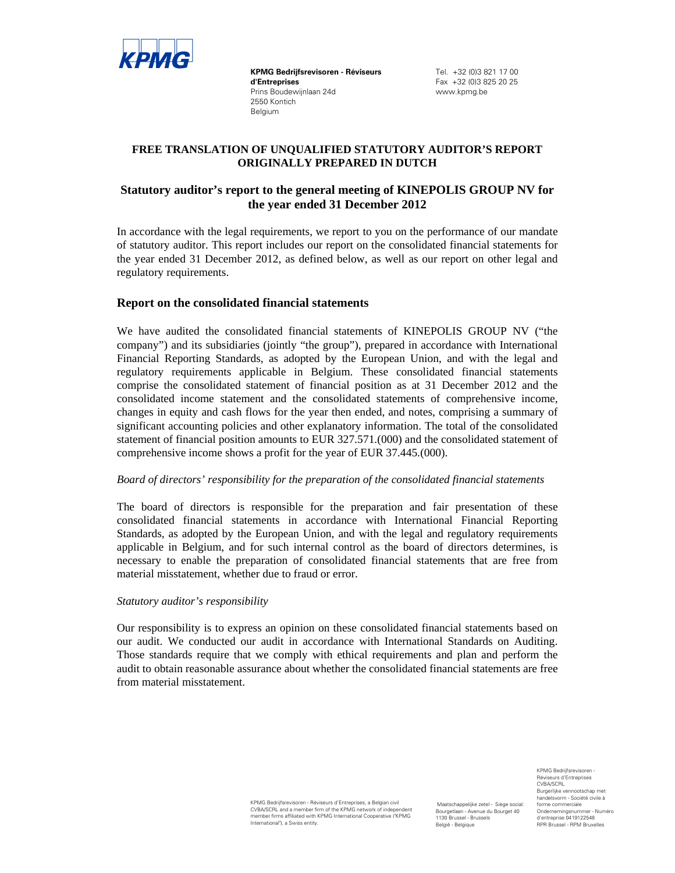

**KPMG Bedrijfsrevisoren - Réviseurs d'Entreprises**  Prins Boudewijnlaan 24d 2550 Kontich Belgium

Tel. +32 (0)3 821 17 00 Fax +32 (0)3 825 20 25 www.kpmg.be

# **FREE TRANSLATION OF UNQUALIFIED STATUTORY AUDITOR'S REPORT ORIGINALLY PREPARED IN DUTCH**

# **Statutory auditor's report to the general meeting of KINEPOLIS GROUP NV for the year ended 31 December 2012**

In accordance with the legal requirements, we report to you on the performance of our mandate of statutory auditor. This report includes our report on the consolidated financial statements for the year ended 31 December 2012, as defined below, as well as our report on other legal and regulatory requirements.

# **Report on the consolidated financial statements**

We have audited the consolidated financial statements of KINEPOLIS GROUP NV ("the company") and its subsidiaries (jointly "the group"), prepared in accordance with International Financial Reporting Standards, as adopted by the European Union, and with the legal and regulatory requirements applicable in Belgium. These consolidated financial statements comprise the consolidated statement of financial position as at 31 December 2012 and the consolidated income statement and the consolidated statements of comprehensive income, changes in equity and cash flows for the year then ended, and notes, comprising a summary of significant accounting policies and other explanatory information. The total of the consolidated statement of financial position amounts to EUR 327.571.(000) and the consolidated statement of comprehensive income shows a profit for the year of EUR 37.445.(000).

#### *Board of directors' responsibility for the preparation of the consolidated financial statements*

The board of directors is responsible for the preparation and fair presentation of these consolidated financial statements in accordance with International Financial Reporting Standards, as adopted by the European Union, and with the legal and regulatory requirements applicable in Belgium, and for such internal control as the board of directors determines, is necessary to enable the preparation of consolidated financial statements that are free from material misstatement, whether due to fraud or error.

#### *Statutory auditor's responsibility*

Our responsibility is to express an opinion on these consolidated financial statements based on our audit. We conducted our audit in accordance with International Standards on Auditing. Those standards require that we comply with ethical requirements and plan and perform the audit to obtain reasonable assurance about whether the consolidated financial statements are free from material misstatement.

> KPMG Bedrijfsrevisoren - Réviseurs d'Entreprises, a Belgian civil CVBA/SCRL and a member firm of the KPMG network of independent member firms affiliated with KPMG International Cooperative ("KPMG International"), a Swiss entity.

 Maatschappelijke zetel - Siège social: Bourgetlaan - Avenue du Bourget 40 1130 Brussel - Brussels België - Belgique

KPMG Bedrijfsrevisoren Réviseurs d'Entreprises CVBA/SCRL Burgerlijke vennootschap met handelsvorm - Société civile à forme commerciale Ondernemingsnummer - Numéro d'entreprise 0419122548 RPR Brussel - RPM Bruxelles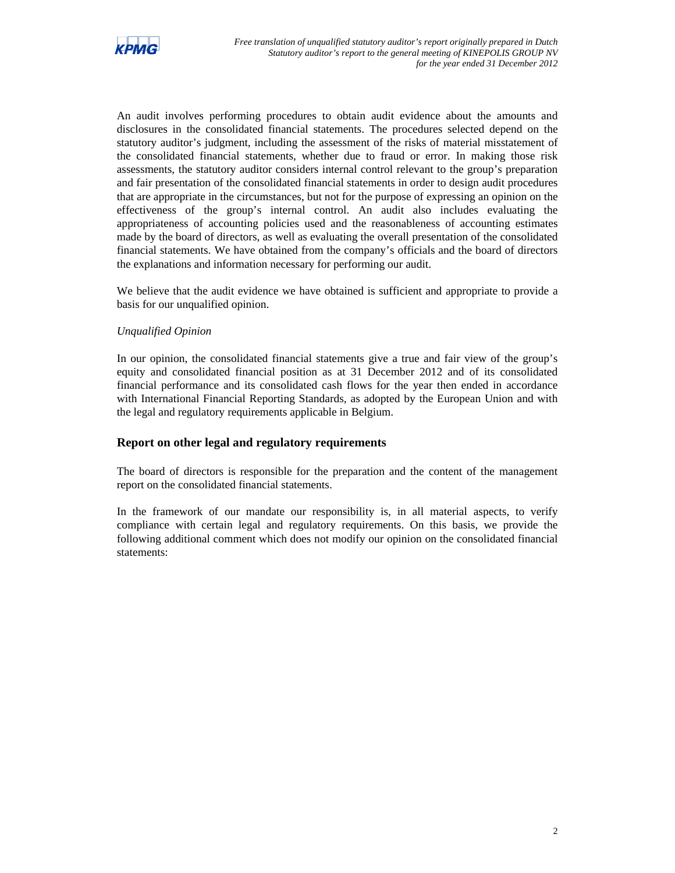

An audit involves performing procedures to obtain audit evidence about the amounts and disclosures in the consolidated financial statements. The procedures selected depend on the statutory auditor's judgment, including the assessment of the risks of material misstatement of the consolidated financial statements, whether due to fraud or error. In making those risk assessments, the statutory auditor considers internal control relevant to the group's preparation and fair presentation of the consolidated financial statements in order to design audit procedures that are appropriate in the circumstances, but not for the purpose of expressing an opinion on the effectiveness of the group's internal control. An audit also includes evaluating the appropriateness of accounting policies used and the reasonableness of accounting estimates made by the board of directors, as well as evaluating the overall presentation of the consolidated financial statements. We have obtained from the company's officials and the board of directors the explanations and information necessary for performing our audit.

We believe that the audit evidence we have obtained is sufficient and appropriate to provide a basis for our unqualified opinion.

### *Unqualified Opinion*

In our opinion, the consolidated financial statements give a true and fair view of the group's equity and consolidated financial position as at 31 December 2012 and of its consolidated financial performance and its consolidated cash flows for the year then ended in accordance with International Financial Reporting Standards, as adopted by the European Union and with the legal and regulatory requirements applicable in Belgium.

# **Report on other legal and regulatory requirements**

The board of directors is responsible for the preparation and the content of the management report on the consolidated financial statements.

In the framework of our mandate our responsibility is, in all material aspects, to verify compliance with certain legal and regulatory requirements. On this basis, we provide the following additional comment which does not modify our opinion on the consolidated financial statements: